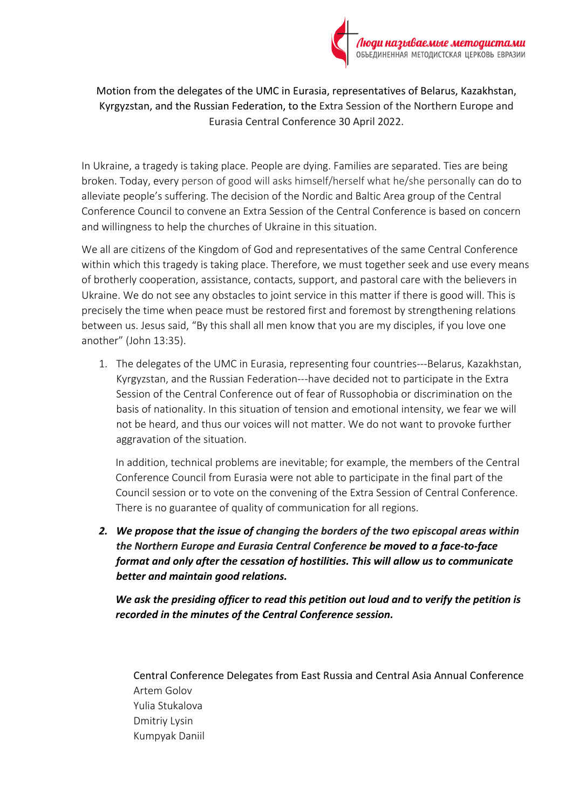

Motion from the delegates of the UMC in Eurasia, representatives of Belarus, Kazakhstan, Kyrgyzstan, and the Russian Federation, to the Extra Session of the Northern Europe and Eurasia Central Conference 30 April 2022.

In Ukraine, a tragedy is taking place. People are dying. Families are separated. Ties are being broken. Today, every person of good will asks himself/herself what he/she personally can do to alleviate people's suffering. The decision of the Nordic and Baltic Area group of the Central Conference Council to convene an Extra Session of the Central Conference is based on concern and willingness to help the churches of Ukraine in this situation.

We all are citizens of the Kingdom of God and representatives of the same Central Conference within which this tragedy is taking place. Therefore, we must together seek and use every means of brotherly cooperation, assistance, contacts, support, and pastoral care with the believers in Ukraine. We do not see any obstacles to joint service in this matter if there is good will. This is precisely the time when peace must be restored first and foremost by strengthening relations between us. Jesus said, "By this shall all men know that you are my disciples, if you love one another" (John 13:35).

1. The delegates of the UMC in Eurasia, representing four countries---Belarus, Kazakhstan, Kyrgyzstan, and the Russian Federation---have decided not to participate in the Extra Session of the Central Conference out of fear of Russophobia or discrimination on the basis of nationality. In this situation of tension and emotional intensity, we fear we will not be heard, and thus our voices will not matter. We do not want to provoke further aggravation of the situation.

In addition, technical problems are inevitable; for example, the members of the Central Conference Council from Eurasia were not able to participate in the final part of the Council session or to vote on the convening of the Extra Session of Central Conference. There is no guarantee of quality of communication for all regions.

*2. We propose that the issue of changing the borders of the two episcopal areas within the Northern Europe and Eurasia Central Conference be moved to a face-to-face format and only after the cessation of hostilities. This will allow us to communicate better and maintain good relations.* 

*We ask the presiding officer to read this petition out loud and to verify the petition is recorded in the minutes of the Central Conference session.*

Central Conference Delegates from East Russia and Central Asia Annual Conference Artem Golov Yulia Stukalova Dmitriy Lysin Kumpyak Daniil